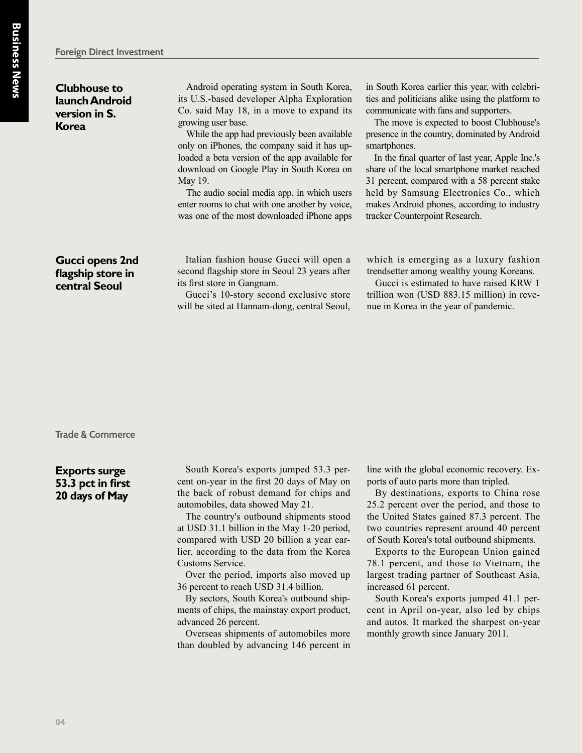**Clubhouse to launch Android version in S. Korea**

Android operating system in South Korea, its U.S.-based developer Alpha Exploration Co. said May 18, in a move to expand its growing user base.

While the app had previously been available only on iPhones, the company said it has uploaded a beta version of the app available for download on Google Play in South Korea on May 19.

The audio social media app, in which users enter rooms to chat with one another by voice, was one of the most downloaded iPhone apps in South Korea earlier this year, with celebrities and politicians alike using the platform to communicate with fans and supporters.

The move is expected to boost Clubhouse's presence in the country, dominated by Android smartphones.

In the final quarter of last year, Apple Inc.'s share of the local smartphone market reached 31 percent, compared with a 58 percent stake held by Samsung Electronics Co., which makes Android phones, according to industry tracker Counterpoint Research.

# **Gucci opens 2nd flagship store in central Seoul**

Italian fashion house Gucci will open a second flagship store in Seoul 23 years after its first store in Gangnam.

Gucci's 10-story second exclusive store will be sited at Hannam-dong, central Seoul,

which is emerging as a luxury fashion trendsetter among wealthy young Koreans.

Gucci is estimated to have raised KRW 1 trillion won (USD 883.15 million) in revenue in Korea in the year of pandemic.

#### **Trade & Commerce**

# **Exports surge 53.3 pct in first 20 days of May**

South Korea's exports jumped 53.3 percent on-year in the first 20 days of May on the back of robust demand for chips and automobiles, data showed May 21.

The country's outbound shipments stood at USD 31.1 billion in the May 1-20 period, compared with USD 20 billion a year earlier, according to the data from the Korea Customs Service.

Over the period, imports also moved up 36 percent to reach USD 31.4 billion.

By sectors, South Korea's outbound shipments of chips, the mainstay export product, advanced 26 percent.

Overseas shipments of automobiles more than doubled by advancing 146 percent in

line with the global economic recovery. Exports of auto parts more than tripled.

By destinations, exports to China rose 25.2 percent over the period, and those to the United States gained 87.3 percent. The two countries represent around 40 percent of South Korea's total outbound shipments.

Exports to the European Union gained 78.1 percent, and those to Vietnam, the largest trading partner of Southeast Asia, increased 61 percent.

South Korea's exports jumped 41.1 percent in April on-year, also led by chips and autos. It marked the sharpest on-year monthly growth since January 2011.